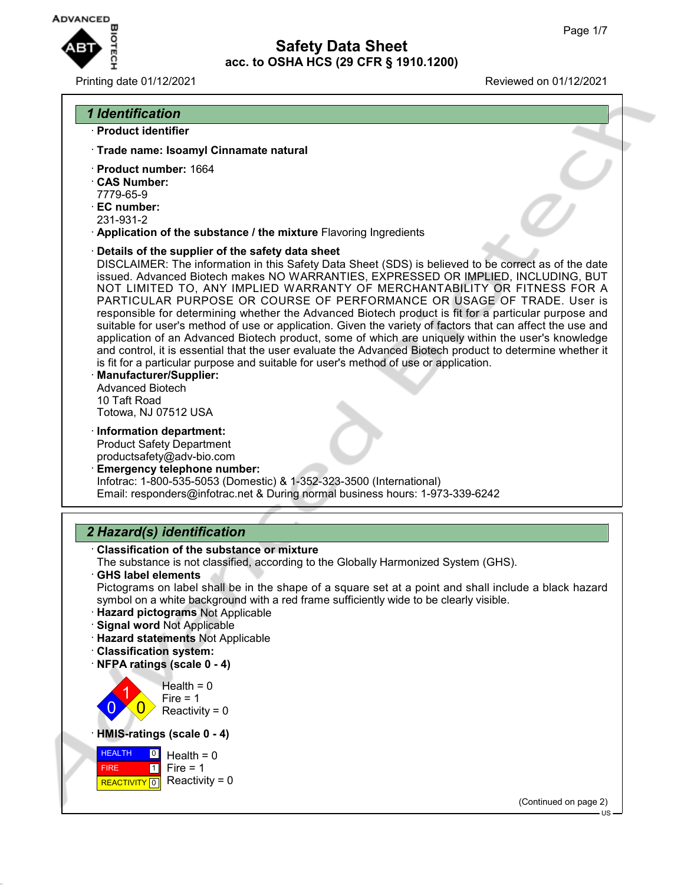

### Printing date 01/12/2021 Reviewed on 01/12/2021

### *1 Identification*

- · **Product identifier**
- · **Trade name: Isoamyl Cinnamate natural**
- · **Product number:** 1664
- · **CAS Number:**
- 7779-65-9
- · **EC number:**
- 231-931-2
- · **Application of the substance / the mixture** Flavoring Ingredients
- · **Details of the supplier of the safety data sheet**

DISCLAIMER: The information in this Safety Data Sheet (SDS) is believed to be correct as of the date issued. Advanced Biotech makes NO WARRANTIES, EXPRESSED OR IMPLIED, INCLUDING, BUT NOT LIMITED TO, ANY IMPLIED WARRANTY OF MERCHANTABILITY OR FITNESS FOR A PARTICULAR PURPOSE OR COURSE OF PERFORMANCE OR USAGE OF TRADE. User is responsible for determining whether the Advanced Biotech product is fit for a particular purpose and suitable for user's method of use or application. Given the variety of factors that can affect the use and application of an Advanced Biotech product, some of which are uniquely within the user's knowledge and control, it is essential that the user evaluate the Advanced Biotech product to determine whether it is fit for a particular purpose and suitable for user's method of use or application.

- · **Manufacturer/Supplier:** Advanced Biotech 10 Taft Road Totowa, NJ 07512 USA
- · **Information department:** Product Safety Department productsafety@adv-bio.com
- · **Emergency telephone number:** Infotrac: 1-800-535-5053 (Domestic) & 1-352-323-3500 (International) Email: responders@infotrac.net & During normal business hours: 1-973-339-6242

## *2 Hazard(s) identification*

- · **Classification of the substance or mixture**
- The substance is not classified, according to the Globally Harmonized System (GHS).
- · **GHS label elements** Pictograms on label shall be in the shape of a square set at a point and shall include a black hazard symbol on a white background with a red frame sufficiently wide to be clearly visible.
- · **Hazard pictograms** Not Applicable
- · **Signal word** Not Applicable
- · **Hazard statements** Not Applicable
- · **Classification system:**
- · **NFPA ratings (scale 0 4)**

 $\overline{0}$ 1  $\overline{0}$  $Health = 0$ Fire  $= 1$  $Reactivity = 0$ 

· **HMIS-ratings (scale 0 - 4)**



(Continued on page 2)

 $H.S.$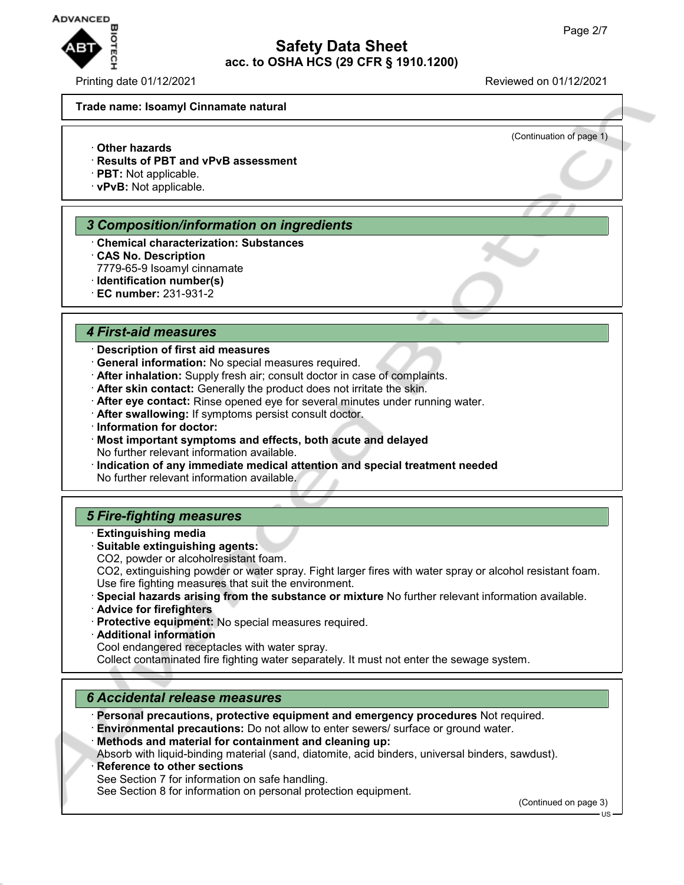

Printing date 01/12/2021 Reviewed on 01/12/2021

(Continuation of page 1)

#### **Trade name: Isoamyl Cinnamate natural**

- · **Other hazards**
- · **Results of PBT and vPvB assessment**
- · **PBT:** Not applicable.
- · **vPvB:** Not applicable.

#### *3 Composition/information on ingredients*

- · **Chemical characterization: Substances**
- · **CAS No. Description**
- 7779-65-9 Isoamyl cinnamate
- · **Identification number(s)**
- · **EC number:** 231-931-2

#### *4 First-aid measures*

### · **Description of first aid measures**

- · **General information:** No special measures required.
- · **After inhalation:** Supply fresh air; consult doctor in case of complaints.
- · **After skin contact:** Generally the product does not irritate the skin.
- · **After eye contact:** Rinse opened eye for several minutes under running water.
- · **After swallowing:** If symptoms persist consult doctor.
- · **Information for doctor:**
- · **Most important symptoms and effects, both acute and delayed** No further relevant information available.
- · **Indication of any immediate medical attention and special treatment needed** No further relevant information available.

### *5 Fire-fighting measures*

- · **Extinguishing media**
- · **Suitable extinguishing agents:**
- CO2, powder or alcoholresistant foam.
- CO2, extinguishing powder or water spray. Fight larger fires with water spray or alcohol resistant foam. Use fire fighting measures that suit the environment.
- · **Special hazards arising from the substance or mixture** No further relevant information available.
- · **Advice for firefighters**
- · **Protective equipment:** No special measures required.
- · **Additional information**

Cool endangered receptacles with water spray.

Collect contaminated fire fighting water separately. It must not enter the sewage system.

### *6 Accidental release measures*

· **Personal precautions, protective equipment and emergency procedures** Not required. · **Environmental precautions:** Do not allow to enter sewers/ surface or ground water.

· **Methods and material for containment and cleaning up:**

Absorb with liquid-binding material (sand, diatomite, acid binders, universal binders, sawdust).

**Reference to other sections** 

See Section 7 for information on safe handling.

See Section 8 for information on personal protection equipment.

(Continued on page 3)

US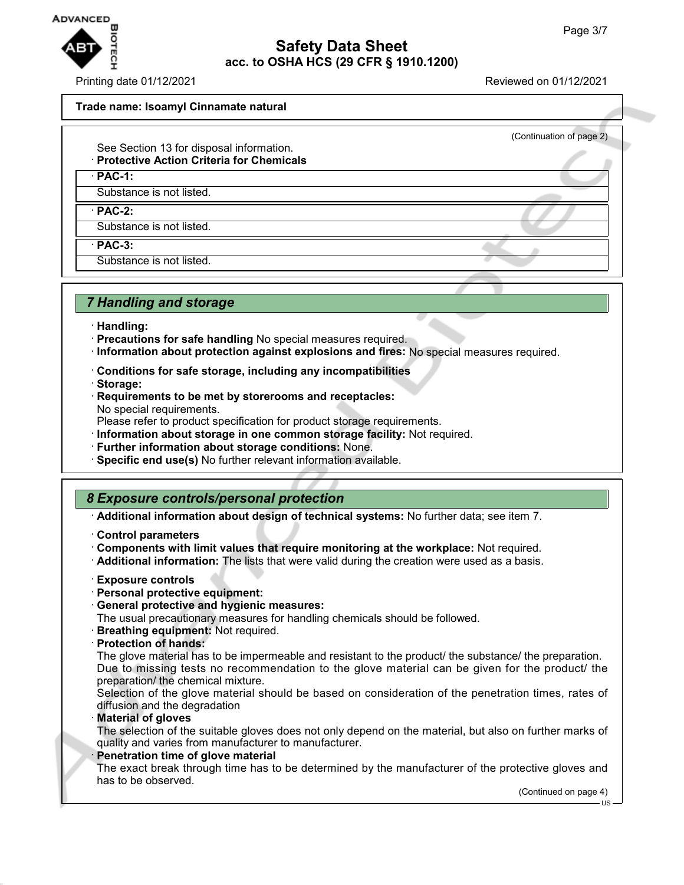

Printing date 01/12/2021 Reviewed on 01/12/2021

(Continuation of page 2)

#### **Trade name: Isoamyl Cinnamate natural**

- See Section 13 for disposal information.
- · **Protective Action Criteria for Chemicals**

· **PAC-1:**

Substance is not listed.

· **PAC-2:**

Substance is not listed.

· **PAC-3:**

Substance is not listed.

### *7 Handling and storage*

- · **Handling:**
- · **Precautions for safe handling** No special measures required.
- · **Information about protection against explosions and fires:** No special measures required.
- · **Conditions for safe storage, including any incompatibilities**
- · **Storage:**
- · **Requirements to be met by storerooms and receptacles:** No special requirements.

Please refer to product specification for product storage requirements.

- · **Information about storage in one common storage facility:** Not required.
- · **Further information about storage conditions:** None.
- · **Specific end use(s)** No further relevant information available.

## *8 Exposure controls/personal protection*

· **Additional information about design of technical systems:** No further data; see item 7.

- · **Control parameters**
- · **Components with limit values that require monitoring at the workplace:** Not required.
- · **Additional information:** The lists that were valid during the creation were used as a basis.
- · **Exposure controls**
- · **Personal protective equipment:**
- · **General protective and hygienic measures:**

The usual precautionary measures for handling chemicals should be followed.

- · **Breathing equipment:** Not required.
- · **Protection of hands:**

The glove material has to be impermeable and resistant to the product/ the substance/ the preparation. Due to missing tests no recommendation to the glove material can be given for the product/ the preparation/ the chemical mixture.

Selection of the glove material should be based on consideration of the penetration times, rates of diffusion and the degradation

· **Material of gloves**

The selection of the suitable gloves does not only depend on the material, but also on further marks of quality and varies from manufacturer to manufacturer.

**Penetration time of glove material** 

The exact break through time has to be determined by the manufacturer of the protective gloves and has to be observed.

(Continued on page 4) US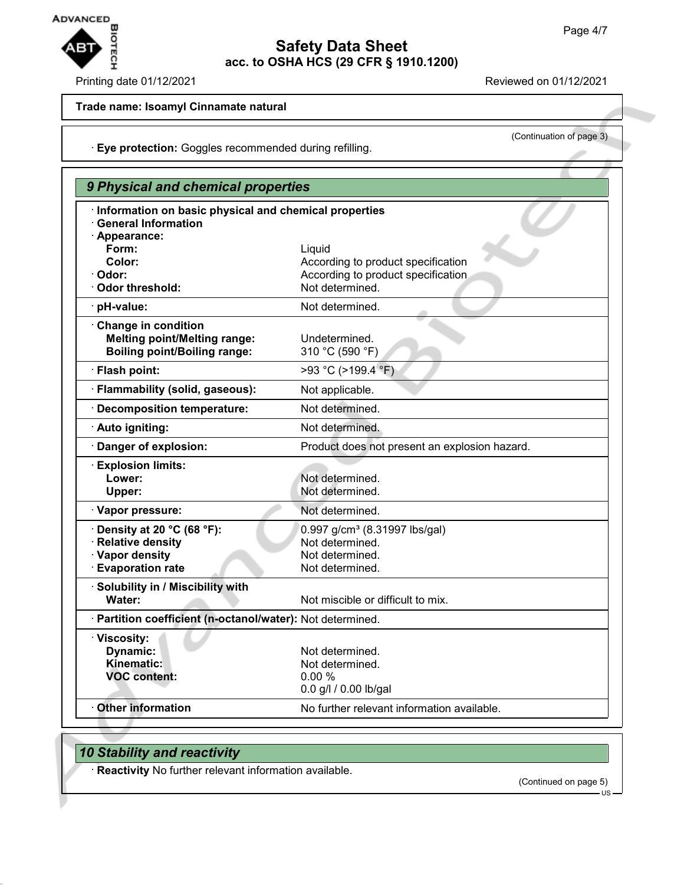

#### Printing date 01/12/2021 Reviewed on 01/12/2021

(Continuation of page 3)

### **Trade name: Isoamyl Cinnamate natural**

· **Eye protection:** Goggles recommended during refilling.

| 9 Physical and chemical properties                                                                    |                                                                                                    |  |
|-------------------------------------------------------------------------------------------------------|----------------------------------------------------------------------------------------------------|--|
| · Information on basic physical and chemical properties<br><b>General Information</b>                 |                                                                                                    |  |
| · Appearance:<br>Form:                                                                                | Liquid                                                                                             |  |
| Color:<br>· Odor:                                                                                     | According to product specification<br>According to product specification                           |  |
| · Odor threshold:                                                                                     | Not determined.                                                                                    |  |
| · pH-value:                                                                                           | Not determined.                                                                                    |  |
| Change in condition<br><b>Melting point/Melting range:</b><br><b>Boiling point/Boiling range:</b>     | Undetermined.<br>310 °C (590 °F)                                                                   |  |
| · Flash point:                                                                                        | >93 °C (>199.4 °F)                                                                                 |  |
| · Flammability (solid, gaseous):                                                                      | Not applicable.                                                                                    |  |
| Decomposition temperature:                                                                            | Not determined.                                                                                    |  |
| · Auto igniting:                                                                                      | Not determined.                                                                                    |  |
| Danger of explosion:                                                                                  | Product does not present an explosion hazard.                                                      |  |
| · Explosion limits:<br>Lower:<br>Upper:                                                               | Not determined.<br>Not determined.                                                                 |  |
| · Vapor pressure:                                                                                     | Not determined.                                                                                    |  |
| $\cdot$ Density at 20 °C (68 °F):<br>· Relative density<br>· Vapor density<br><b>Evaporation rate</b> | 0.997 g/cm <sup>3</sup> (8.31997 lbs/gal)<br>Not determined.<br>Not determined.<br>Not determined. |  |
| · Solubility in / Miscibility with<br>Water:                                                          | Not miscible or difficult to mix.                                                                  |  |
| · Partition coefficient (n-octanol/water): Not determined.                                            |                                                                                                    |  |
| · Viscosity:<br><b>Dynamic:</b><br>Kinematic:<br><b>VOC content:</b>                                  | Not determined.<br>Not determined.<br>0.00%<br>0.0 g/l / 0.00 lb/gal                               |  |
| <b>Other information</b>                                                                              | No further relevant information available.                                                         |  |

# *10 Stability and reactivity*

· **Reactivity** No further relevant information available.

(Continued on page 5)

US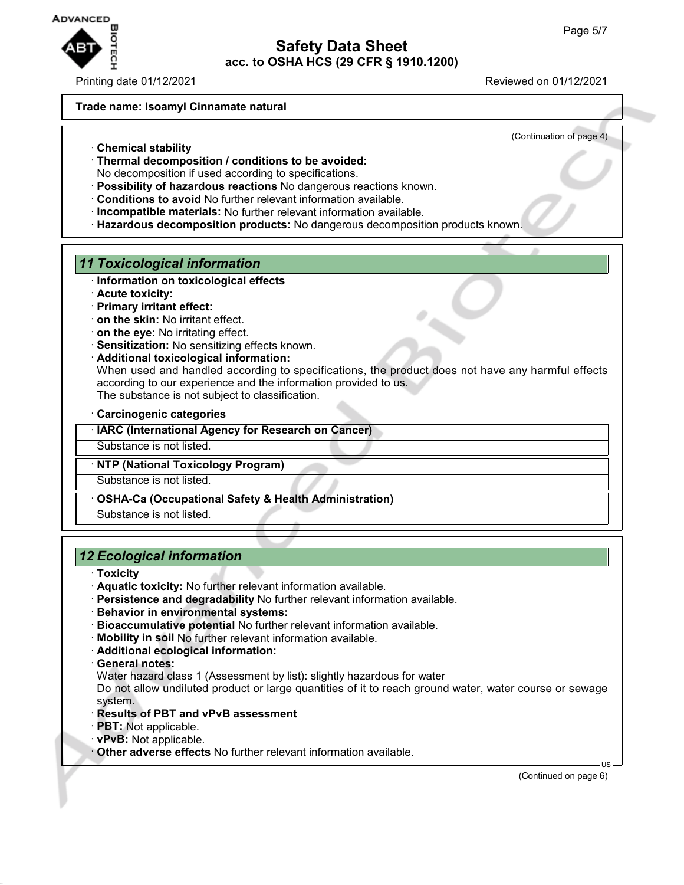

Printing date 01/12/2021 Reviewed on 01/12/2021

#### **Trade name: Isoamyl Cinnamate natural**

(Continuation of page 4)

- · **Chemical stability**
- · **Thermal decomposition / conditions to be avoided:**
- No decomposition if used according to specifications.
- · **Possibility of hazardous reactions** No dangerous reactions known.
- · **Conditions to avoid** No further relevant information available.
- · **Incompatible materials:** No further relevant information available.
- · **Hazardous decomposition products:** No dangerous decomposition products known.

### *11 Toxicological information*

- · **Information on toxicological effects**
- · **Acute toxicity:**
- · **Primary irritant effect:**
- · **on the skin:** No irritant effect.
- · **on the eye:** No irritating effect.
- · **Sensitization:** No sensitizing effects known.
- · **Additional toxicological information:**

When used and handled according to specifications, the product does not have any harmful effects according to our experience and the information provided to us. The substance is not subject to classification.

· **Carcinogenic categories**

· **IARC (International Agency for Research on Cancer)**

Substance is not listed.

#### · **NTP (National Toxicology Program)**

Substance is not listed.

· **OSHA-Ca (Occupational Safety & Health Administration)**

Substance is not listed.

## *12 Ecological information*

- · **Toxicity**
- · **Aquatic toxicity:** No further relevant information available.
- · **Persistence and degradability** No further relevant information available.
- · **Behavior in environmental systems:**
- · **Bioaccumulative potential** No further relevant information available.
- · **Mobility in soil** No further relevant information available.
- · **Additional ecological information:**
- · **General notes:**

Water hazard class 1 (Assessment by list): slightly hazardous for water

Do not allow undiluted product or large quantities of it to reach ground water, water course or sewage system.

- · **Results of PBT and vPvB assessment**
- · **PBT:** Not applicable.
- · **vPvB:** Not applicable.

· **Other adverse effects** No further relevant information available.

(Continued on page 6)

US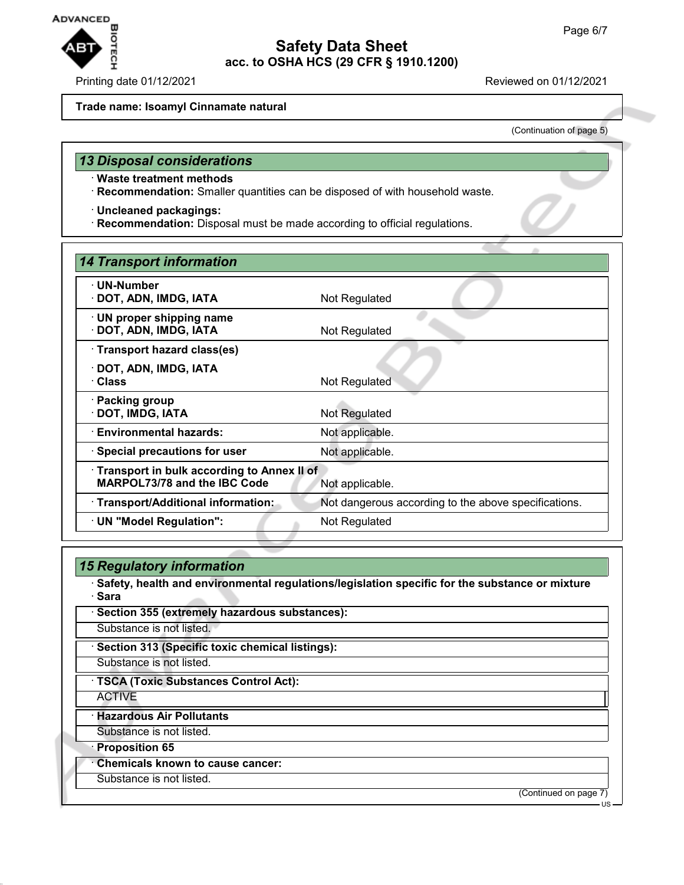

Printing date 01/12/2021 **Reviewed on 01/12/2021** 

#### **Trade name: Isoamyl Cinnamate natural**

(Continuation of page 5)

## *13 Disposal considerations*

- · **Waste treatment methods**
- · **Recommendation:** Smaller quantities can be disposed of with household waste.
- · **Uncleaned packagings:**
- · **Recommendation:** Disposal must be made according to official regulations.

| 14 Transport information                   |                                                      |  |
|--------------------------------------------|------------------------------------------------------|--|
| · UN-Number                                |                                                      |  |
| · DOT, ADN, IMDG, IATA                     | Not Regulated                                        |  |
| $\cdot$ UN proper shipping name            |                                                      |  |
| · DOT, ADN, IMDG, IATA                     | Not Regulated                                        |  |
| · Transport hazard class(es)               |                                                      |  |
| · DOT, ADN, IMDG, IATA                     |                                                      |  |
| · Class                                    | Not Regulated                                        |  |
| · Packing group                            |                                                      |  |
| · DOT, IMDG, IATA                          | Not Regulated                                        |  |
| <b>Environmental hazards:</b>              | Not applicable.                                      |  |
| · Special precautions for user             | Not applicable.                                      |  |
| Transport in bulk according to Annex II of |                                                      |  |
| <b>MARPOL73/78 and the IBC Code</b>        | Not applicable.                                      |  |
| · Transport/Additional information:        | Not dangerous according to the above specifications. |  |
| · UN "Model Regulation":                   | Not Regulated                                        |  |

| 15 Regulatory information                                                                                |                       |
|----------------------------------------------------------------------------------------------------------|-----------------------|
| Safety, health and environmental regulations/legislation specific for the substance or mixture<br>· Sara |                       |
| · Section 355 (extremely hazardous substances):                                                          |                       |
| Substance is not listed.                                                                                 |                       |
| Section 313 (Specific toxic chemical listings):                                                          |                       |
| Substance is not listed.                                                                                 |                       |
| · TSCA (Toxic Substances Control Act):                                                                   |                       |
| <b>ACTIVE</b>                                                                                            |                       |
| · Hazardous Air Pollutants                                                                               |                       |
| Substance is not listed.                                                                                 |                       |
| · Proposition 65                                                                                         |                       |
| Chemicals known to cause cancer:                                                                         |                       |
| Substance is not listed.                                                                                 |                       |
|                                                                                                          | (Continued on page 7) |